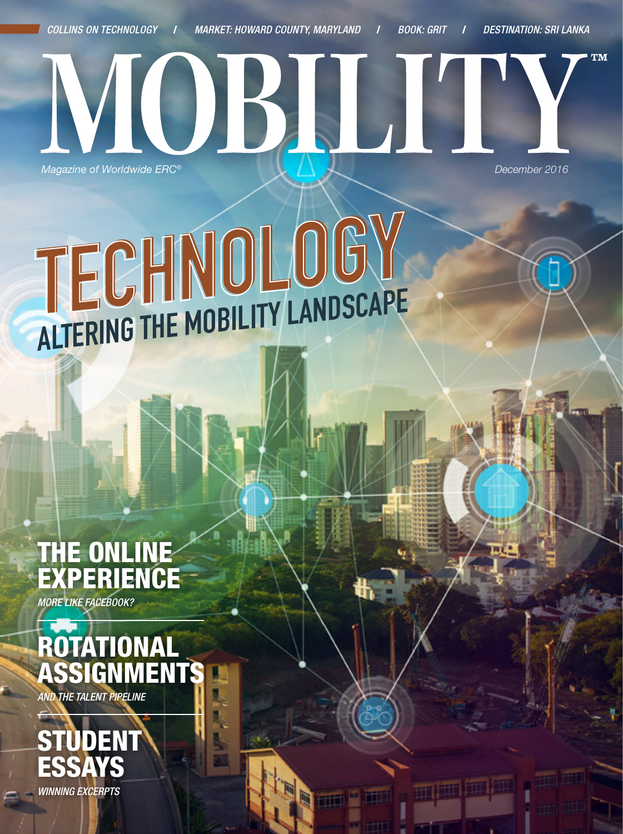*COLLINS ON TECHNOLOGY* / *MARKET: HOWARD COUNTY, MARYLAND* / *BOOK: GRIT* / *DESTINATION: SRI LANKA*

MUBLIT

ΤM

*Magazine of Worldwide ERC®*

*December 2016*

# TECHNOLOGY ALTERING THE MOBILITY LANDSCAPE

## THE ONLINE EXPERIENCE

*MORE LIKE FACEBOOK?*

## ROTATIONAL **ASSIGNMENTS**

*AND THE TALENT PIPELINE*

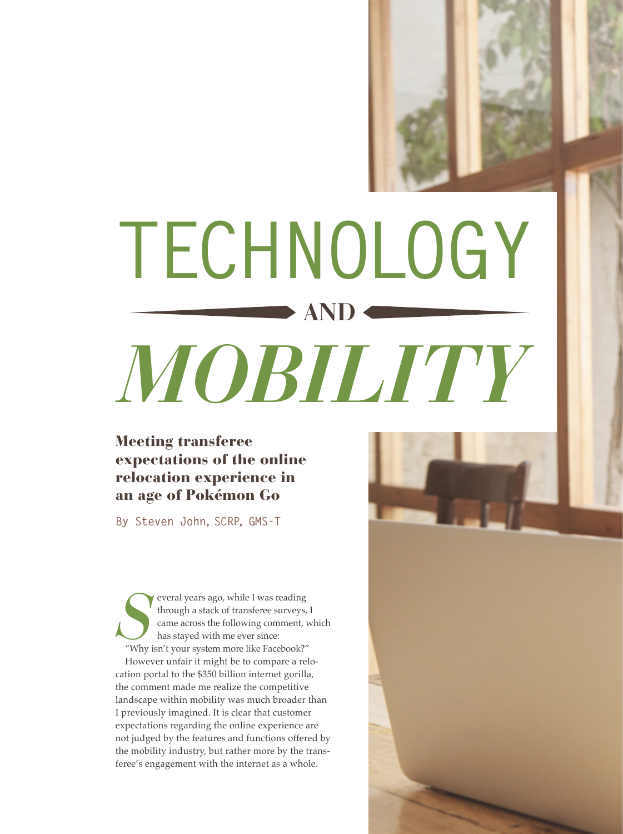# **TECHNOLOGY** *MOBILITY* **AND**

### Meeting transferee expectations of the online relocation experience in an age of Pokémon Go

**By Steven John, SCRP, GMS-T**

**Several years ago, while I was reading**<br>through a stack of transferee surveys, I<br>came across the following comment, whas stayed with me ever since:<br>"Why isn't your system more like Facebook?" through a stack of transferee surveys, I came across the following comment, which has stayed with me ever since: However unfair it might be to compare a relocation portal to the \$350 billion internet gorilla, the comment made me realize the competitive landscape within mobility was much broader than I previously imagined. It is clear that customer expectations regarding the online experience are not judged by the features and functions offered by the mobility industry, but rather more by the transferee's engagement with the internet as a whole.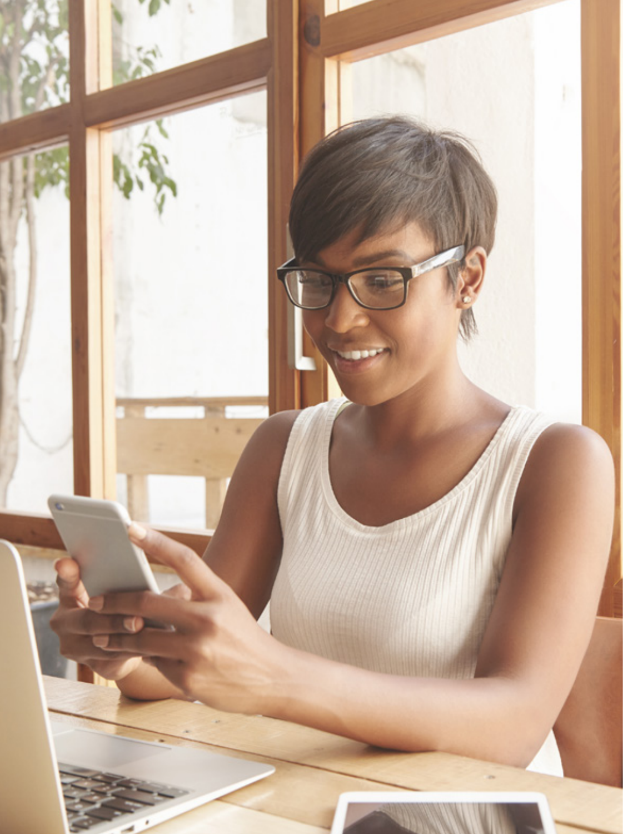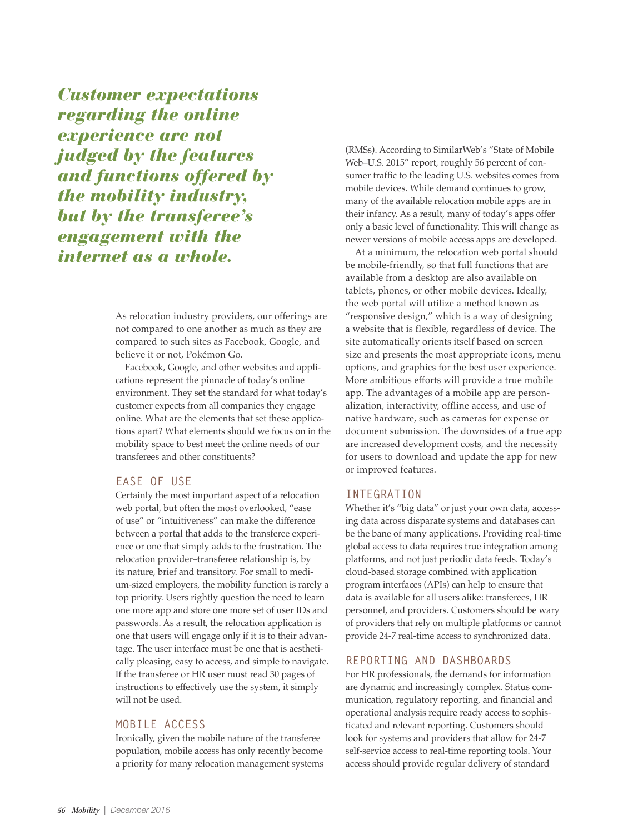*Customer expectations regarding the online experience are not judged by the features and functions offered by the mobility industry, but by the transferee's engagement with the internet as a whole.*

> As relocation industry providers, our offerings are not compared to one another as much as they are compared to such sites as Facebook, Google, and believe it or not, Pokémon Go.

Facebook, Google, and other websites and applications represent the pinnacle of today's online environment. They set the standard for what today's customer expects from all companies they engage online. What are the elements that set these applications apart? What elements should we focus on in the mobility space to best meet the online needs of our transferees and other constituents?

#### **EASE OF USE**

Certainly the most important aspect of a relocation web portal, but often the most overlooked, "ease of use" or "intuitiveness" can make the difference between a portal that adds to the transferee experience or one that simply adds to the frustration. The relocation provider–transferee relationship is, by its nature, brief and transitory. For small to medium-sized employers, the mobility function is rarely a top priority. Users rightly question the need to learn one more app and store one more set of user IDs and passwords. As a result, the relocation application is one that users will engage only if it is to their advantage. The user interface must be one that is aesthetically pleasing, easy to access, and simple to navigate. If the transferee or HR user must read 30 pages of instructions to effectively use the system, it simply will not be used.

#### **MOBILE ACCESS**

Ironically, given the mobile nature of the transferee population, mobile access has only recently become a priority for many relocation management systems

(RMSs). According to SimilarWeb's "State of Mobile Web–U.S. 2015" report, roughly 56 percent of consumer traffic to the leading U.S. websites comes from mobile devices. While demand continues to grow, many of the available relocation mobile apps are in their infancy. As a result, many of today's apps offer only a basic level of functionality. This will change as newer versions of mobile access apps are developed.

At a minimum, the relocation web portal should be mobile-friendly, so that full functions that are available from a desktop are also available on tablets, phones, or other mobile devices. Ideally, the web portal will utilize a method known as "responsive design," which is a way of designing a website that is flexible, regardless of device. The site automatically orients itself based on screen size and presents the most appropriate icons, menu options, and graphics for the best user experience. More ambitious efforts will provide a true mobile app. The advantages of a mobile app are personalization, interactivity, offline access, and use of native hardware, such as cameras for expense or document submission. The downsides of a true app are increased development costs, and the necessity for users to download and update the app for new or improved features.

#### **INTEGRATION**

Whether it's "big data" or just your own data, accessing data across disparate systems and databases can be the bane of many applications. Providing real-time global access to data requires true integration among platforms, and not just periodic data feeds. Today's cloud-based storage combined with application program interfaces (APIs) can help to ensure that data is available for all users alike: transferees, HR personnel, and providers. Customers should be wary of providers that rely on multiple platforms or cannot provide 24-7 real-time access to synchronized data.

#### **REPORTING AND DASHBOARDS**

For HR professionals, the demands for information are dynamic and increasingly complex. Status communication, regulatory reporting, and financial and operational analysis require ready access to sophisticated and relevant reporting. Customers should look for systems and providers that allow for 24-7 self-service access to real-time reporting tools. Your access should provide regular delivery of standard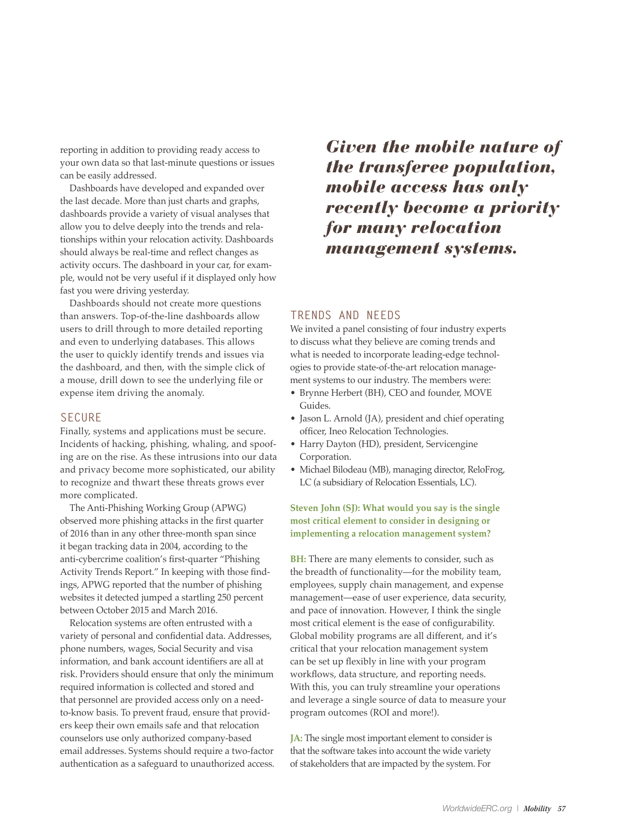reporting in addition to providing ready access to your own data so that last-minute questions or issues can be easily addressed.

Dashboards have developed and expanded over the last decade. More than just charts and graphs, dashboards provide a variety of visual analyses that allow you to delve deeply into the trends and relationships within your relocation activity. Dashboards should always be real-time and reflect changes as activity occurs. The dashboard in your car, for example, would not be very useful if it displayed only how fast you were driving yesterday.

Dashboards should not create more questions than answers. Top-of-the-line dashboards allow users to drill through to more detailed reporting and even to underlying databases. This allows the user to quickly identify trends and issues via the dashboard, and then, with the simple click of a mouse, drill down to see the underlying file or expense item driving the anomaly.

#### **SECURE**

Finally, systems and applications must be secure. Incidents of hacking, phishing, whaling, and spoofing are on the rise. As these intrusions into our data and privacy become more sophisticated, our ability to recognize and thwart these threats grows ever more complicated.

The Anti-Phishing Working Group (APWG) observed more phishing attacks in the first quarter of 2016 than in any other three-month span since it began tracking data in 2004, according to the anti-cybercrime coalition's first-quarter "Phishing Activity Trends Report." In keeping with those findings, APWG reported that the number of phishing websites it detected jumped a startling 250 percent between October 2015 and March 2016.

Relocation systems are often entrusted with a variety of personal and confidential data. Addresses, phone numbers, wages, Social Security and visa information, and bank account identifiers are all at risk. Providers should ensure that only the minimum required information is collected and stored and that personnel are provided access only on a needto-know basis. To prevent fraud, ensure that providers keep their own emails safe and that relocation counselors use only authorized company-based email addresses. Systems should require a two-factor authentication as a safeguard to unauthorized access.

*Given the mobile nature of the transferee population, mobile access has only recently become a priority for many relocation management systems.*

#### **TRENDS AND NEEDS**

We invited a panel consisting of four industry experts to discuss what they believe are coming trends and what is needed to incorporate leading-edge technologies to provide state-of-the-art relocation management systems to our industry. The members were:

- Brynne Herbert (BH), CEO and founder, MOVE Guides.
- Jason L. Arnold (JA), president and chief operating officer, Ineo Relocation Technologies.
- Harry Dayton (HD), president, Servicengine Corporation.
- Michael Bilodeau (MB), managing director, ReloFrog, LC (a subsidiary of Relocation Essentials, LC).

#### **Steven John (SJ): What would you say is the single most critical element to consider in designing or implementing a relocation management system?**

**BH:** There are many elements to consider, such as the breadth of functionality—for the mobility team, employees, supply chain management, and expense management—ease of user experience, data security, and pace of innovation. However, I think the single most critical element is the ease of configurability. Global mobility programs are all different, and it's critical that your relocation management system can be set up flexibly in line with your program workflows, data structure, and reporting needs. With this, you can truly streamline your operations and leverage a single source of data to measure your program outcomes (ROI and more!).

**JA:** The single most important element to consider is that the software takes into account the wide variety of stakeholders that are impacted by the system. For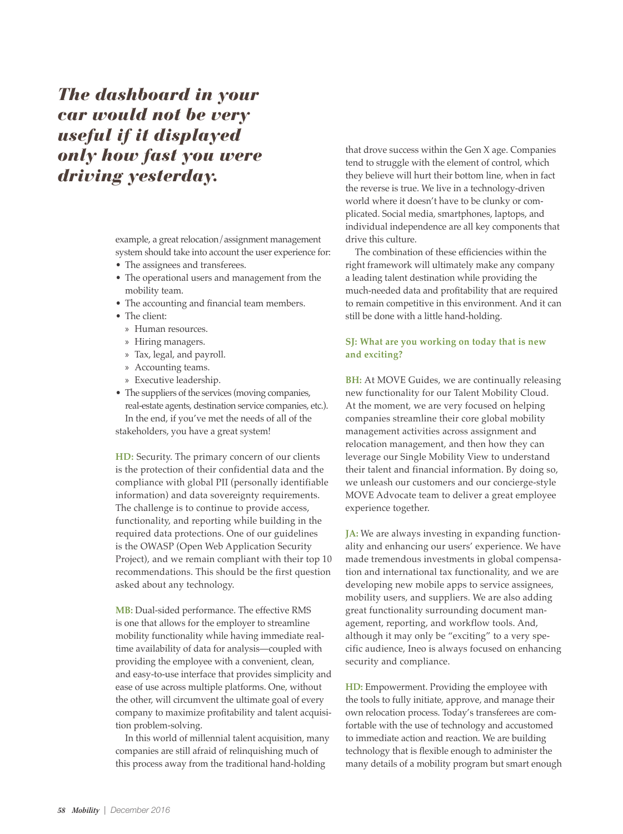### *The dashboard in your car would not be very useful if it displayed only how fast you were driving yesterday.*

example, a great relocation/assignment management system should take into account the user experience for:

- The assignees and transferees.
- The operational users and management from the mobility team.
- The accounting and financial team members.
- The client:
	- » Human resources.
	- » Hiring managers.
	- » Tax, legal, and payroll.
	- » Accounting teams.
	- » Executive leadership.
- The suppliers of the services (moving companies, real-estate agents, destination service companies, etc.). In the end, if you've met the needs of all of the

stakeholders, you have a great system!

**HD:** Security. The primary concern of our clients is the protection of their confidential data and the compliance with global PII (personally identifiable information) and data sovereignty requirements. The challenge is to continue to provide access, functionality, and reporting while building in the required data protections. One of our guidelines is the OWASP (Open Web Application Security Project), and we remain compliant with their top 10 recommendations. This should be the first question asked about any technology.

**MB:** Dual-sided performance. The effective RMS is one that allows for the employer to streamline mobility functionality while having immediate realtime availability of data for analysis—coupled with providing the employee with a convenient, clean, and easy-to-use interface that provides simplicity and ease of use across multiple platforms. One, without the other, will circumvent the ultimate goal of every company to maximize profitability and talent acquisition problem-solving.

In this world of millennial talent acquisition, many companies are still afraid of relinquishing much of this process away from the traditional hand-holding

that drove success within the Gen X age. Companies tend to struggle with the element of control, which they believe will hurt their bottom line, when in fact the reverse is true. We live in a technology-driven world where it doesn't have to be clunky or complicated. Social media, smartphones, laptops, and individual independence are all key components that drive this culture.

The combination of these efficiencies within the right framework will ultimately make any company a leading talent destination while providing the much-needed data and profitability that are required to remain competitive in this environment. And it can still be done with a little hand-holding.

#### **SJ: What are you working on today that is new and exciting?**

**BH:** At MOVE Guides, we are continually releasing new functionality for our Talent Mobility Cloud. At the moment, we are very focused on helping companies streamline their core global mobility management activities across assignment and relocation management, and then how they can leverage our Single Mobility View to understand their talent and financial information. By doing so, we unleash our customers and our concierge-style MOVE Advocate team to deliver a great employee experience together.

JA: We are always investing in expanding functionality and enhancing our users' experience. We have made tremendous investments in global compensation and international tax functionality, and we are developing new mobile apps to service assignees, mobility users, and suppliers. We are also adding great functionality surrounding document management, reporting, and workflow tools. And, although it may only be "exciting" to a very specific audience, Ineo is always focused on enhancing security and compliance.

**HD:** Empowerment. Providing the employee with the tools to fully initiate, approve, and manage their own relocation process. Today's transferees are comfortable with the use of technology and accustomed to immediate action and reaction. We are building technology that is flexible enough to administer the many details of a mobility program but smart enough